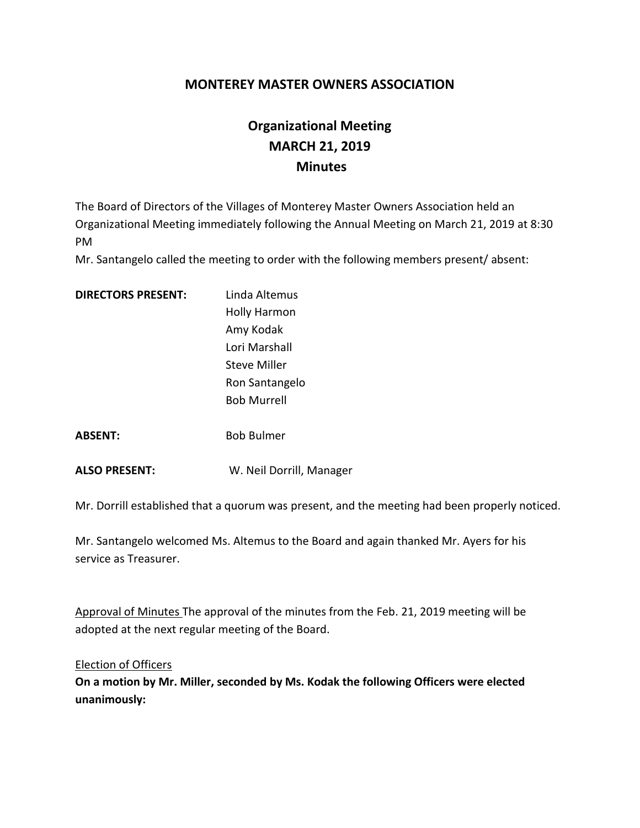## **MONTEREY MASTER OWNERS ASSOCIATION**

## **Organizational Meeting MARCH 21, 2019 Minutes**

The Board of Directors of the Villages of Monterey Master Owners Association held an Organizational Meeting immediately following the Annual Meeting on March 21, 2019 at 8:30 PM

Mr. Santangelo called the meeting to order with the following members present/ absent:

| <b>DIRECTORS PRESENT:</b> | Linda Altemus            |
|---------------------------|--------------------------|
|                           | <b>Holly Harmon</b>      |
|                           | Amy Kodak                |
|                           | Lori Marshall            |
|                           | <b>Steve Miller</b>      |
|                           | Ron Santangelo           |
|                           | <b>Bob Murrell</b>       |
|                           |                          |
| <b>ABSENT:</b>            | <b>Bob Bulmer</b>        |
|                           |                          |
| <b>ALSO PRESENT:</b>      | W. Neil Dorrill, Manager |

Mr. Dorrill established that a quorum was present, and the meeting had been properly noticed.

Mr. Santangelo welcomed Ms. Altemus to the Board and again thanked Mr. Ayers for his service as Treasurer.

Approval of Minutes The approval of the minutes from the Feb. 21, 2019 meeting will be adopted at the next regular meeting of the Board.

## Election of Officers

**On a motion by Mr. Miller, seconded by Ms. Kodak the following Officers were elected unanimously:**